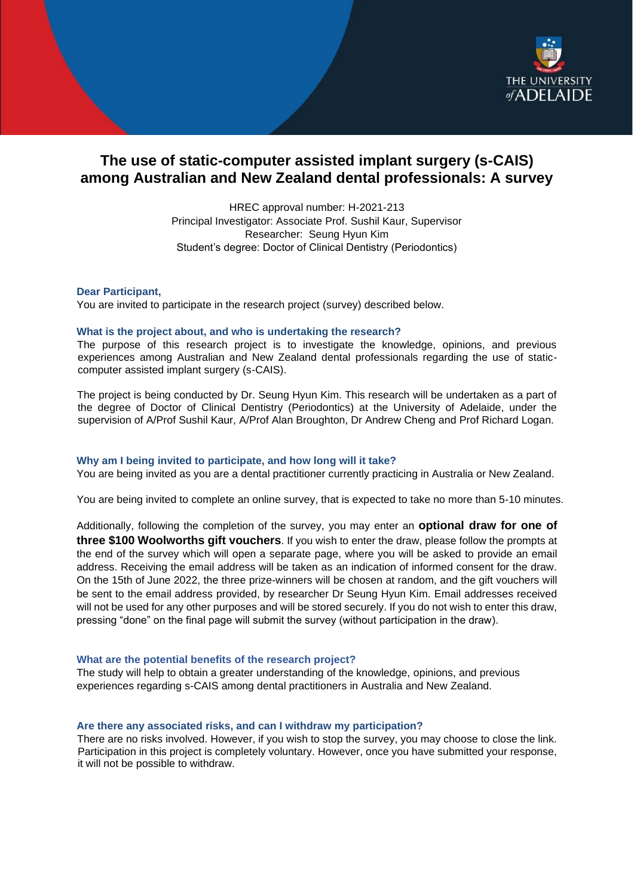

# **The use of static-computer assisted implant surgery (s-CAIS) among Australian and New Zealand dental professionals: A survey**

HREC approval number: H-2021-213 Principal Investigator: Associate Prof. Sushil Kaur, Supervisor Researcher: Seung Hyun Kim Student's degree: Doctor of Clinical Dentistry (Periodontics)

**Dear Participant,** 

You are invited to participate in the research project (survey) described below.

# **What is the project about, and who is undertaking the research?**

The purpose of this research project is to investigate the knowledge, opinions, and previous experiences among Australian and New Zealand dental professionals regarding the use of staticcomputer assisted implant surgery (s-CAIS).

The project is being conducted by Dr. Seung Hyun Kim. This research will be undertaken as a part of the degree of Doctor of Clinical Dentistry (Periodontics) at the University of Adelaide, under the supervision of A/Prof Sushil Kaur, A/Prof Alan Broughton, Dr Andrew Cheng and Prof Richard Logan.

# **Why am I being invited to participate, and how long will it take?**

You are being invited as you are a dental practitioner currently practicing in Australia or New Zealand.

You are being invited to complete an online survey, that is expected to take no more than 5-10 minutes.

Additionally, following the completion of the survey, you may enter an **optional draw for one of three \$100 Woolworths gift vouchers**. If you wish to enter the draw, please follow the prompts at the end of the survey which will open a separate page, where you will be asked to provide an email address. Receiving the email address will be taken as an indication of informed consent for the draw. On the 15th of June 2022, the three prize-winners will be chosen at random, and the gift vouchers will be sent to the email address provided, by researcher Dr Seung Hyun Kim. Email addresses received will not be used for any other purposes and will be stored securely. If you do not wish to enter this draw, pressing "done" on the final page will submit the survey (without participation in the draw).

### **What are the potential benefits of the research project?**

The study will help to obtain a greater understanding of the knowledge, opinions, and previous experiences regarding s-CAIS among dental practitioners in Australia and New Zealand.

### **Are there any associated risks, and can I withdraw my participation?**

There are no risks involved. However, if you wish to stop the survey, you may choose to close the link. Participation in this project is completely voluntary. However, once you have submitted your response, it will not be possible to withdraw.